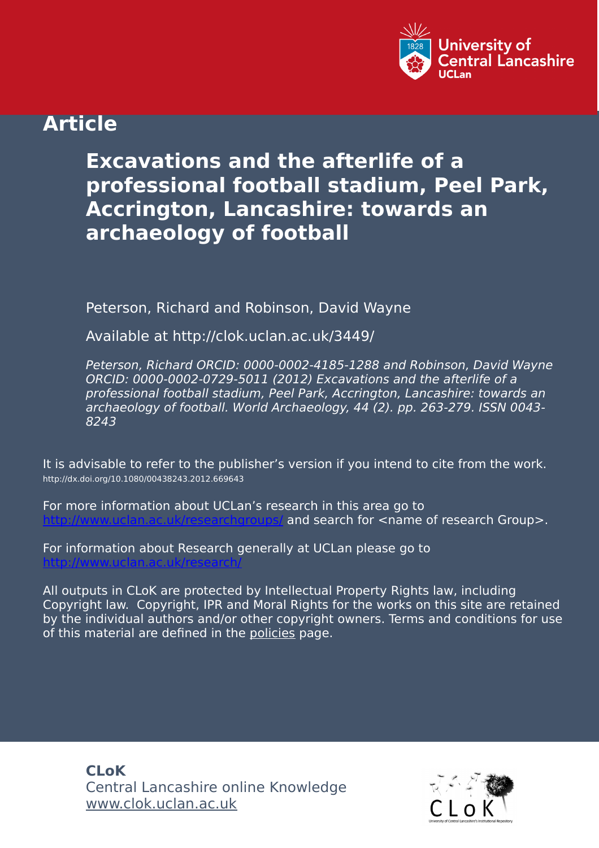

## **Article**

# **Excavations and the afterlife of a professional football stadium, Peel Park, Accrington, Lancashire: towards an archaeology of football**

Peterson, Richard and Robinson, David Wayne

Available at http://clok.uclan.ac.uk/3449/

Peterson, Richard ORCID: 0000-0002-4185-1288 and Robinson, David Wayne ORCID: 0000-0002-0729-5011 (2012) Excavations and the afterlife of a professional football stadium, Peel Park, Accrington, Lancashire: towards an archaeology of football. World Archaeology, 44 (2). pp. 263-279. ISSN 0043- 8243

It is advisable to refer to the publisher's version if you intend to cite from the work. http://dx.doi.org/10.1080/00438243.2012.669643

For more information about UCLan's research in this area go to and search for <name of research Group>.

For information about Research generally at UCLan please go to <http://www.uclan.ac.uk/research/>

All outputs in CLoK are protected by Intellectual Property Rights law, including Copyright law. Copyright, IPR and Moral Rights for the works on this site are retained by the individual authors and/or other copyright owners. Terms and conditions for use of this material are defined in the [policies](https://clok.uclan.ac.uk/policies.html) page.

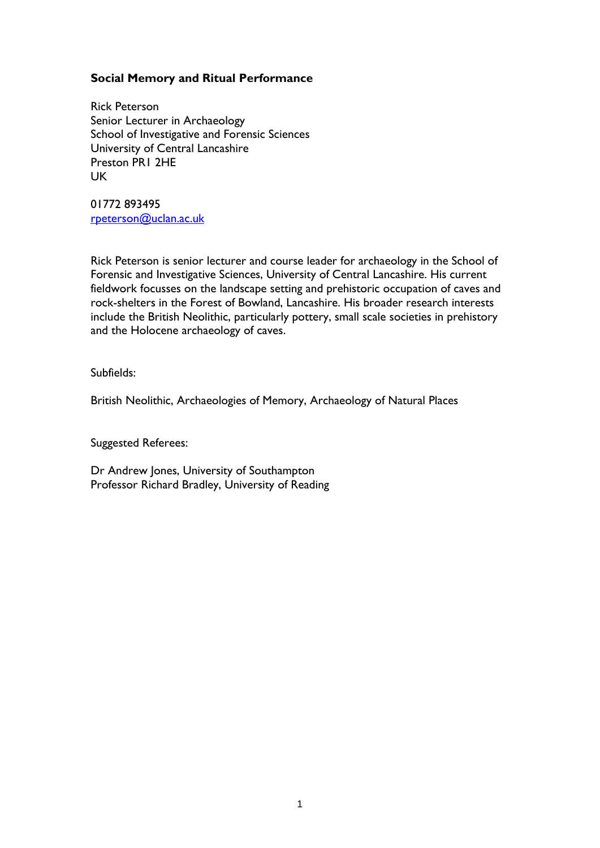## **Social Memory and Ritual Performance**

Rick Peterson Senior Lecturer in Archaeology School of Investigative and Forensic Sciences University of Central Lancashire Preston PR1 2HE UK

01772 893495 [rpeterson@uclan.ac.uk](mailto:rpeterson@uclan.ac.uk)

Rick Peterson is senior lecturer and course leader for archaeology in the School of Forensic and Investigative Sciences, University of Central Lancashire. His current fieldwork focusses on the landscape setting and prehistoric occupation of caves and rock-shelters in the Forest of Bowland, Lancashire. His broader research interests include the British Neolithic, particularly pottery, small scale societies in prehistory and the Holocene archaeology of caves.

Subfields:

British Neolithic, Archaeologies of Memory, Archaeology of Natural Places

Suggested Referees:

Dr Andrew Jones, University of Southampton Professor Richard Bradley, University of Reading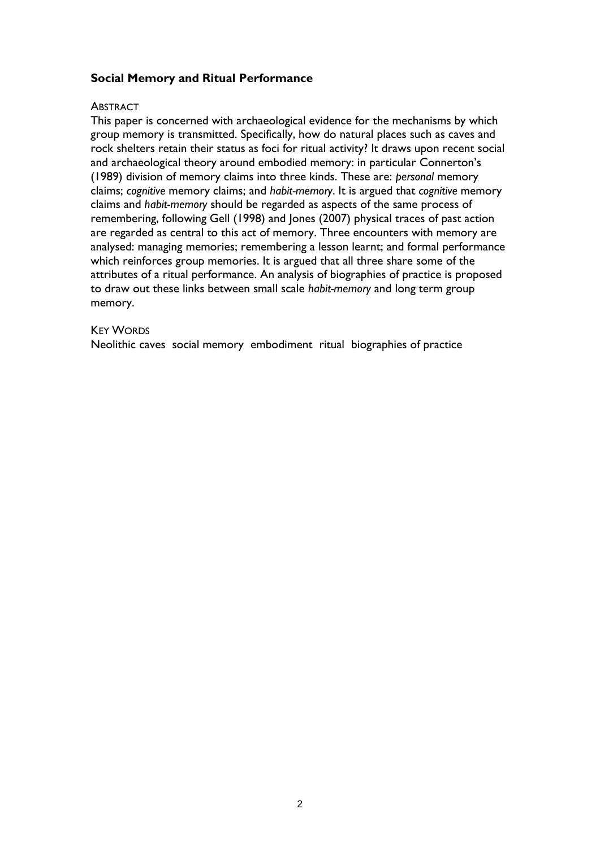## **Social Memory and Ritual Performance**

## **ABSTRACT**

This paper is concerned with archaeological evidence for the mechanisms by which group memory is transmitted. Specifically, how do natural places such as caves and rock shelters retain their status as foci for ritual activity? It draws upon recent social and archaeological theory around embodied memory: in particular Connerton's (1989) division of memory claims into three kinds. These are: *personal* memory claims; *cognitive* memory claims; and *habit-memory*. It is argued that *cognitive* memory claims and *habit-memory* should be regarded as aspects of the same process of remembering, following Gell (1998) and Jones (2007) physical traces of past action are regarded as central to this act of memory. Three encounters with memory are analysed: managing memories; remembering a lesson learnt; and formal performance which reinforces group memories. It is argued that all three share some of the attributes of a ritual performance. An analysis of biographies of practice is proposed to draw out these links between small scale *habit-memory* and long term group memory.

#### KEY WORDS

Neolithic caves social memory embodiment ritual biographies of practice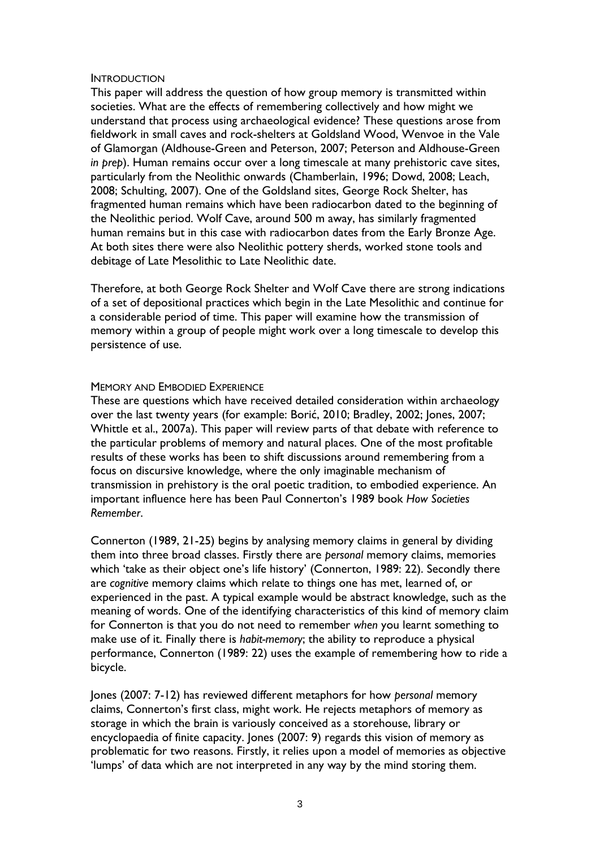#### **INTRODUCTION**

This paper will address the question of how group memory is transmitted within societies. What are the effects of remembering collectively and how might we understand that process using archaeological evidence? These questions arose from fieldwork in small caves and rock-shelters at Goldsland Wood, Wenvoe in the Vale of Glamorgan (Aldhouse-Green and Peterson, 2007; Peterson and Aldhouse-Green *in prep*). Human remains occur over a long timescale at many prehistoric cave sites, particularly from the Neolithic onwards (Chamberlain, 1996; Dowd, 2008; Leach, 2008; Schulting, 2007). One of the Goldsland sites, George Rock Shelter, has fragmented human remains which have been radiocarbon dated to the beginning of the Neolithic period. Wolf Cave, around 500 m away, has similarly fragmented human remains but in this case with radiocarbon dates from the Early Bronze Age. At both sites there were also Neolithic pottery sherds, worked stone tools and debitage of Late Mesolithic to Late Neolithic date.

Therefore, at both George Rock Shelter and Wolf Cave there are strong indications of a set of depositional practices which begin in the Late Mesolithic and continue for a considerable period of time. This paper will examine how the transmission of memory within a group of people might work over a long timescale to develop this persistence of use.

## MEMORY AND EMBODIED EXPERIENCE

These are questions which have received detailed consideration within archaeology over the last twenty years (for example: Borić, 2010; Bradley, 2002; Jones, 2007; Whittle et al., 2007a). This paper will review parts of that debate with reference to the particular problems of memory and natural places. One of the most profitable results of these works has been to shift discussions around remembering from a focus on discursive knowledge, where the only imaginable mechanism of transmission in prehistory is the oral poetic tradition, to embodied experience. An important influence here has been Paul Connerton's 1989 book *How Societies Remember*.

Connerton (1989, 21-25) begins by analysing memory claims in general by dividing them into three broad classes. Firstly there are *personal* memory claims, memories which 'take as their object one's life history' (Connerton, 1989: 22). Secondly there are *cognitive* memory claims which relate to things one has met, learned of, or experienced in the past. A typical example would be abstract knowledge, such as the meaning of words. One of the identifying characteristics of this kind of memory claim for Connerton is that you do not need to remember *when* you learnt something to make use of it. Finally there is *habit-memory*; the ability to reproduce a physical performance, Connerton (1989: 22) uses the example of remembering how to ride a bicycle.

Jones (2007: 7-12) has reviewed different metaphors for how *personal* memory claims, Connerton's first class, might work. He rejects metaphors of memory as storage in which the brain is variously conceived as a storehouse, library or encyclopaedia of finite capacity. Jones (2007: 9) regards this vision of memory as problematic for two reasons. Firstly, it relies upon a model of memories as objective 'lumps' of data which are not interpreted in any way by the mind storing them.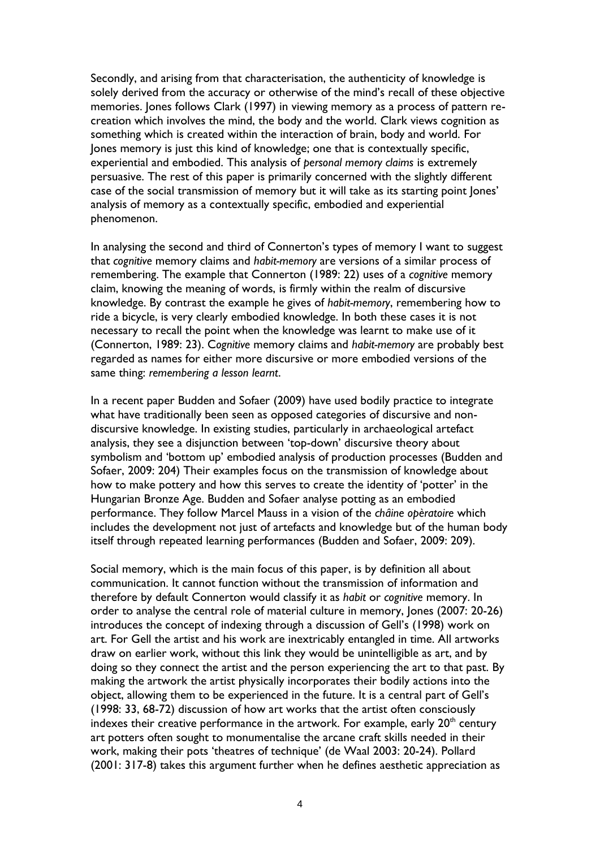Secondly, and arising from that characterisation, the authenticity of knowledge is solely derived from the accuracy or otherwise of the mind's recall of these objective memories. Jones follows Clark (1997) in viewing memory as a process of pattern recreation which involves the mind, the body and the world. Clark views cognition as something which is created within the interaction of brain, body and world. For Jones memory is just this kind of knowledge; one that is contextually specific, experiential and embodied. This analysis of *personal memory claims* is extremely persuasive. The rest of this paper is primarily concerned with the slightly different case of the social transmission of memory but it will take as its starting point Jones' analysis of memory as a contextually specific, embodied and experiential phenomenon.

In analysing the second and third of Connerton's types of memory I want to suggest that *cognitive* memory claims and *habit-memory* are versions of a similar process of remembering. The example that Connerton (1989: 22) uses of a *cognitive* memory claim, knowing the meaning of words, is firmly within the realm of discursive knowledge. By contrast the example he gives of *habit-memory*, remembering how to ride a bicycle, is very clearly embodied knowledge. In both these cases it is not necessary to recall the point when the knowledge was learnt to make use of it (Connerton, 1989: 23). C*ognitive* memory claims and *habit-memory* are probably best regarded as names for either more discursive or more embodied versions of the same thing: *remembering a lesson learnt*.

In a recent paper Budden and Sofaer (2009) have used bodily practice to integrate what have traditionally been seen as opposed categories of discursive and nondiscursive knowledge. In existing studies, particularly in archaeological artefact analysis, they see a disjunction between 'top-down' discursive theory about symbolism and 'bottom up' embodied analysis of production processes (Budden and Sofaer, 2009: 204) Their examples focus on the transmission of knowledge about how to make pottery and how this serves to create the identity of 'potter' in the Hungarian Bronze Age. Budden and Sofaer analyse potting as an embodied performance. They follow Marcel Mauss in a vision of the *châine opèratoire* which includes the development not just of artefacts and knowledge but of the human body itself through repeated learning performances (Budden and Sofaer, 2009: 209).

Social memory, which is the main focus of this paper, is by definition all about communication. It cannot function without the transmission of information and therefore by default Connerton would classify it as *habit* or *cognitive* memory. In order to analyse the central role of material culture in memory, Jones (2007: 20-26) introduces the concept of indexing through a discussion of Gell's (1998) work on art. For Gell the artist and his work are inextricably entangled in time. All artworks draw on earlier work, without this link they would be unintelligible as art, and by doing so they connect the artist and the person experiencing the art to that past. By making the artwork the artist physically incorporates their bodily actions into the object, allowing them to be experienced in the future. It is a central part of Gell's (1998: 33, 68-72) discussion of how art works that the artist often consciously indexes their creative performance in the artwork. For example, early  $20<sup>th</sup>$  century art potters often sought to monumentalise the arcane craft skills needed in their work, making their pots 'theatres of technique' (de Waal 2003: 20-24). Pollard (2001: 317-8) takes this argument further when he defines aesthetic appreciation as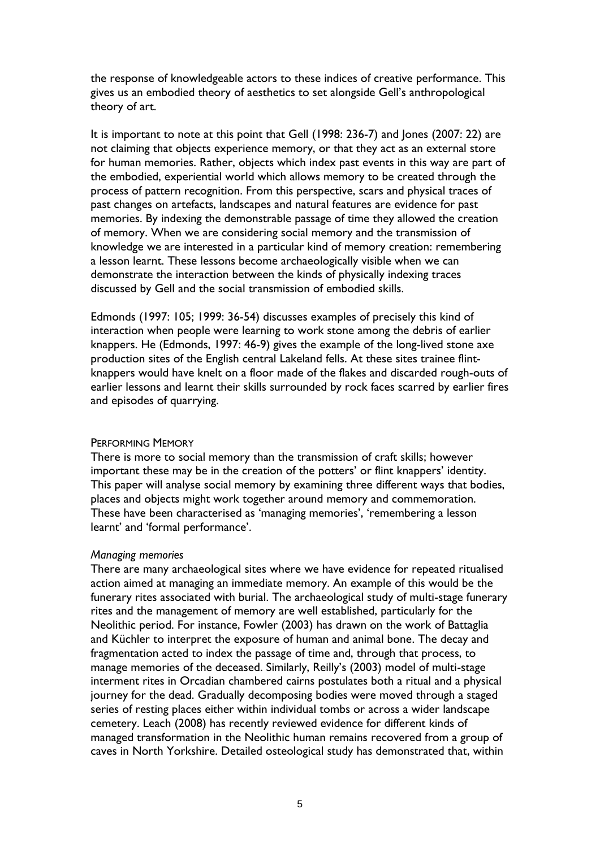the response of knowledgeable actors to these indices of creative performance. This gives us an embodied theory of aesthetics to set alongside Gell's anthropological theory of art.

It is important to note at this point that Gell (1998: 236-7) and Jones (2007: 22) are not claiming that objects experience memory, or that they act as an external store for human memories. Rather, objects which index past events in this way are part of the embodied, experiential world which allows memory to be created through the process of pattern recognition. From this perspective, scars and physical traces of past changes on artefacts, landscapes and natural features are evidence for past memories. By indexing the demonstrable passage of time they allowed the creation of memory. When we are considering social memory and the transmission of knowledge we are interested in a particular kind of memory creation: remembering a lesson learnt. These lessons become archaeologically visible when we can demonstrate the interaction between the kinds of physically indexing traces discussed by Gell and the social transmission of embodied skills.

Edmonds (1997: 105; 1999: 36-54) discusses examples of precisely this kind of interaction when people were learning to work stone among the debris of earlier knappers. He (Edmonds, 1997: 46-9) gives the example of the long-lived stone axe production sites of the English central Lakeland fells. At these sites trainee flintknappers would have knelt on a floor made of the flakes and discarded rough-outs of earlier lessons and learnt their skills surrounded by rock faces scarred by earlier fires and episodes of quarrying.

## PERFORMING MEMORY

There is more to social memory than the transmission of craft skills; however important these may be in the creation of the potters' or flint knappers' identity. This paper will analyse social memory by examining three different ways that bodies, places and objects might work together around memory and commemoration. These have been characterised as 'managing memories', 'remembering a lesson learnt' and 'formal performance'.

#### *Managing memories*

There are many archaeological sites where we have evidence for repeated ritualised action aimed at managing an immediate memory. An example of this would be the funerary rites associated with burial. The archaeological study of multi-stage funerary rites and the management of memory are well established, particularly for the Neolithic period. For instance, Fowler (2003) has drawn on the work of Battaglia and Küchler to interpret the exposure of human and animal bone. The decay and fragmentation acted to index the passage of time and, through that process, to manage memories of the deceased. Similarly, Reilly's (2003) model of multi-stage interment rites in Orcadian chambered cairns postulates both a ritual and a physical journey for the dead. Gradually decomposing bodies were moved through a staged series of resting places either within individual tombs or across a wider landscape cemetery. Leach (2008) has recently reviewed evidence for different kinds of managed transformation in the Neolithic human remains recovered from a group of caves in North Yorkshire. Detailed osteological study has demonstrated that, within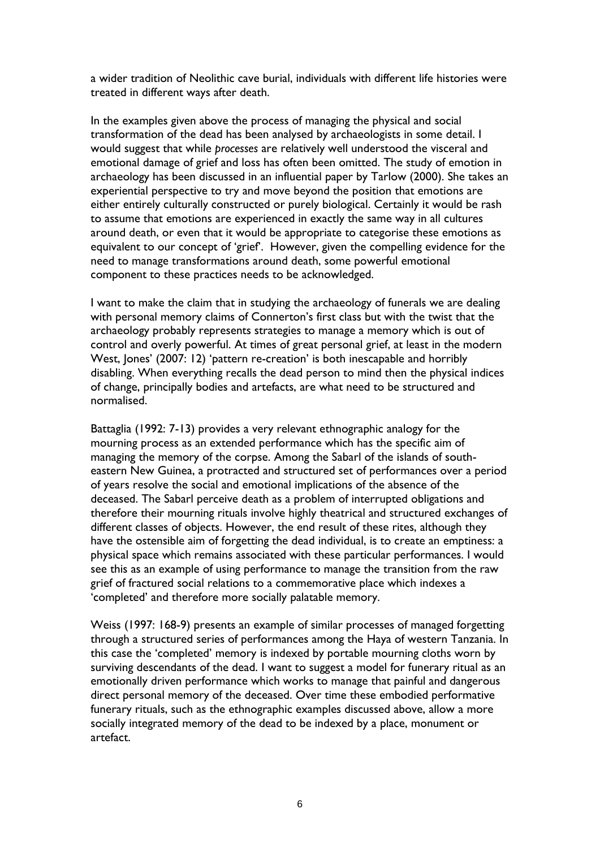a wider tradition of Neolithic cave burial, individuals with different life histories were treated in different ways after death.

In the examples given above the process of managing the physical and social transformation of the dead has been analysed by archaeologists in some detail. I would suggest that while *processes* are relatively well understood the visceral and emotional damage of grief and loss has often been omitted. The study of emotion in archaeology has been discussed in an influential paper by Tarlow (2000). She takes an experiential perspective to try and move beyond the position that emotions are either entirely culturally constructed or purely biological. Certainly it would be rash to assume that emotions are experienced in exactly the same way in all cultures around death, or even that it would be appropriate to categorise these emotions as equivalent to our concept of 'grief'. However, given the compelling evidence for the need to manage transformations around death, some powerful emotional component to these practices needs to be acknowledged.

I want to make the claim that in studying the archaeology of funerals we are dealing with personal memory claims of Connerton's first class but with the twist that the archaeology probably represents strategies to manage a memory which is out of control and overly powerful. At times of great personal grief, at least in the modern West, Jones' (2007: 12) 'pattern re-creation' is both inescapable and horribly disabling. When everything recalls the dead person to mind then the physical indices of change, principally bodies and artefacts, are what need to be structured and normalised.

Battaglia (1992: 7-13) provides a very relevant ethnographic analogy for the mourning process as an extended performance which has the specific aim of managing the memory of the corpse. Among the Sabarl of the islands of southeastern New Guinea, a protracted and structured set of performances over a period of years resolve the social and emotional implications of the absence of the deceased. The Sabarl perceive death as a problem of interrupted obligations and therefore their mourning rituals involve highly theatrical and structured exchanges of different classes of objects. However, the end result of these rites, although they have the ostensible aim of forgetting the dead individual, is to create an emptiness: a physical space which remains associated with these particular performances. I would see this as an example of using performance to manage the transition from the raw grief of fractured social relations to a commemorative place which indexes a 'completed' and therefore more socially palatable memory.

Weiss (1997: 168-9) presents an example of similar processes of managed forgetting through a structured series of performances among the Haya of western Tanzania. In this case the 'completed' memory is indexed by portable mourning cloths worn by surviving descendants of the dead. I want to suggest a model for funerary ritual as an emotionally driven performance which works to manage that painful and dangerous direct personal memory of the deceased. Over time these embodied performative funerary rituals, such as the ethnographic examples discussed above, allow a more socially integrated memory of the dead to be indexed by a place, monument or artefact.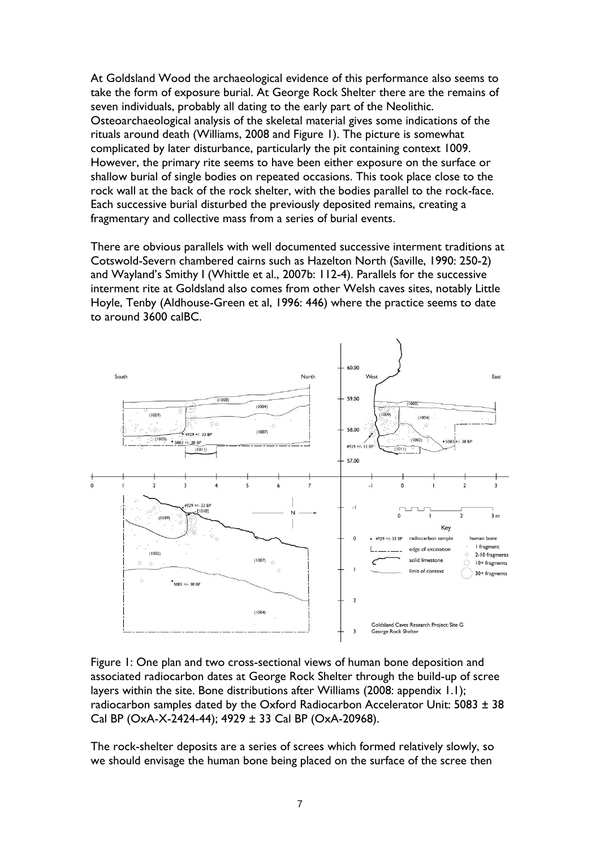At Goldsland Wood the archaeological evidence of this performance also seems to take the form of exposure burial. At George Rock Shelter there are the remains of seven individuals, probably all dating to the early part of the Neolithic. Osteoarchaeological analysis of the skeletal material gives some indications of the rituals around death (Williams, 2008 and Figure 1). The picture is somewhat complicated by later disturbance, particularly the pit containing context 1009. However, the primary rite seems to have been either exposure on the surface or shallow burial of single bodies on repeated occasions. This took place close to the rock wall at the back of the rock shelter, with the bodies parallel to the rock-face. Each successive burial disturbed the previously deposited remains, creating a fragmentary and collective mass from a series of burial events.

There are obvious parallels with well documented successive interment traditions at Cotswold-Severn chambered cairns such as Hazelton North (Saville, 1990: 250-2) and Wayland's Smithy I (Whittle et al., 2007b: 112-4). Parallels for the successive interment rite at Goldsland also comes from other Welsh caves sites, notably Little Hoyle, Tenby (Aldhouse-Green et al, 1996: 446) where the practice seems to date to around 3600 calBC.



Figure 1: One plan and two cross-sectional views of human bone deposition and associated radiocarbon dates at George Rock Shelter through the build-up of scree layers within the site. Bone distributions after Williams (2008: appendix 1.1); radiocarbon samples dated by the Oxford Radiocarbon Accelerator Unit:  $5083 \pm 38$ Cal BP (OxA-X-2424-44); 4929 ± 33 Cal BP (OxA-20968).

The rock-shelter deposits are a series of screes which formed relatively slowly, so we should envisage the human bone being placed on the surface of the scree then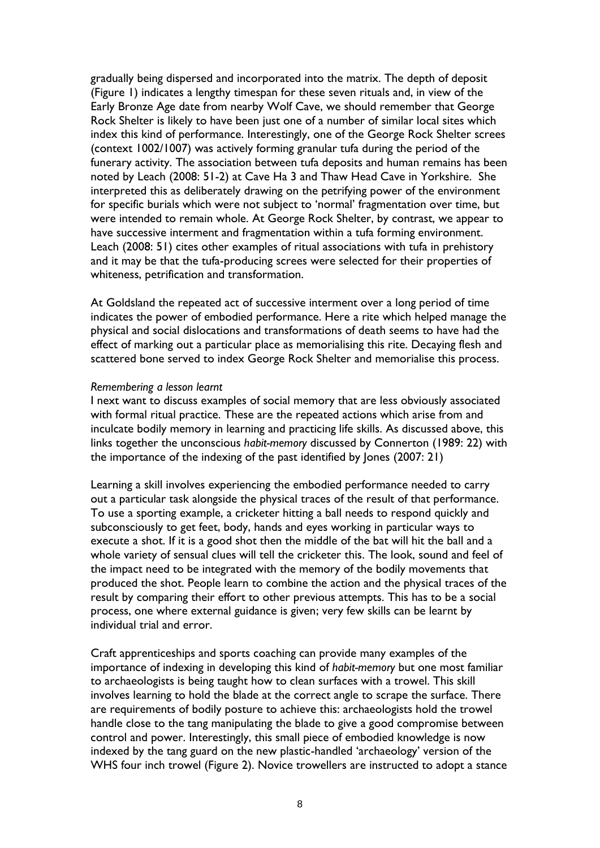gradually being dispersed and incorporated into the matrix. The depth of deposit (Figure 1) indicates a lengthy timespan for these seven rituals and, in view of the Early Bronze Age date from nearby Wolf Cave, we should remember that George Rock Shelter is likely to have been just one of a number of similar local sites which index this kind of performance. Interestingly, one of the George Rock Shelter screes (context 1002/1007) was actively forming granular tufa during the period of the funerary activity. The association between tufa deposits and human remains has been noted by Leach (2008: 51-2) at Cave Ha 3 and Thaw Head Cave in Yorkshire. She interpreted this as deliberately drawing on the petrifying power of the environment for specific burials which were not subject to 'normal' fragmentation over time, but were intended to remain whole. At George Rock Shelter, by contrast, we appear to have successive interment and fragmentation within a tufa forming environment. Leach (2008: 51) cites other examples of ritual associations with tufa in prehistory and it may be that the tufa-producing screes were selected for their properties of whiteness, petrification and transformation.

At Goldsland the repeated act of successive interment over a long period of time indicates the power of embodied performance. Here a rite which helped manage the physical and social dislocations and transformations of death seems to have had the effect of marking out a particular place as memorialising this rite. Decaying flesh and scattered bone served to index George Rock Shelter and memorialise this process.

#### *Remembering a lesson learnt*

I next want to discuss examples of social memory that are less obviously associated with formal ritual practice. These are the repeated actions which arise from and inculcate bodily memory in learning and practicing life skills. As discussed above, this links together the unconscious *habit-memory* discussed by Connerton (1989: 22) with the importance of the indexing of the past identified by Jones (2007: 21)

Learning a skill involves experiencing the embodied performance needed to carry out a particular task alongside the physical traces of the result of that performance. To use a sporting example, a cricketer hitting a ball needs to respond quickly and subconsciously to get feet, body, hands and eyes working in particular ways to execute a shot. If it is a good shot then the middle of the bat will hit the ball and a whole variety of sensual clues will tell the cricketer this. The look, sound and feel of the impact need to be integrated with the memory of the bodily movements that produced the shot. People learn to combine the action and the physical traces of the result by comparing their effort to other previous attempts. This has to be a social process, one where external guidance is given; very few skills can be learnt by individual trial and error.

Craft apprenticeships and sports coaching can provide many examples of the importance of indexing in developing this kind of *habit-memory* but one most familiar to archaeologists is being taught how to clean surfaces with a trowel. This skill involves learning to hold the blade at the correct angle to scrape the surface. There are requirements of bodily posture to achieve this: archaeologists hold the trowel handle close to the tang manipulating the blade to give a good compromise between control and power. Interestingly, this small piece of embodied knowledge is now indexed by the tang guard on the new plastic-handled 'archaeology' version of the WHS four inch trowel (Figure 2). Novice trowellers are instructed to adopt a stance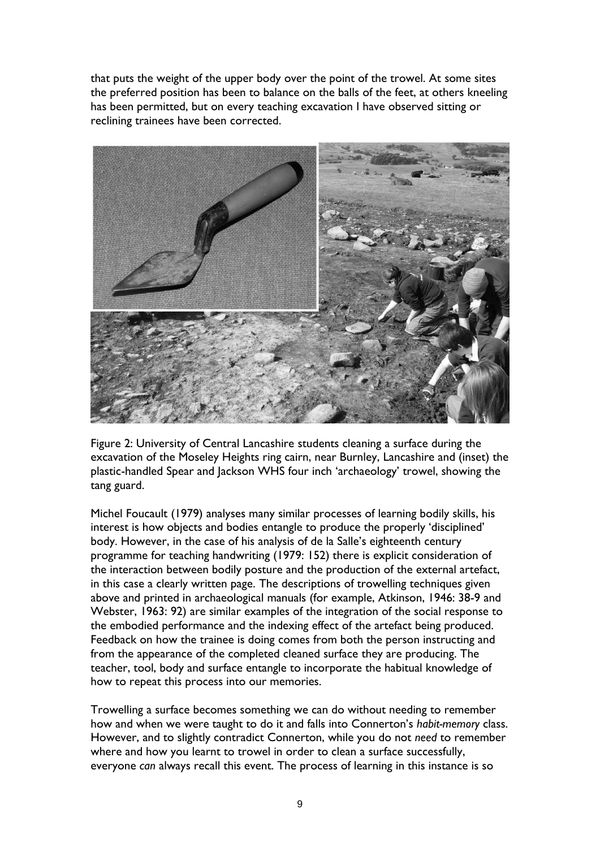that puts the weight of the upper body over the point of the trowel. At some sites the preferred position has been to balance on the balls of the feet, at others kneeling has been permitted, but on every teaching excavation I have observed sitting or reclining trainees have been corrected.



Figure 2: University of Central Lancashire students cleaning a surface during the excavation of the Moseley Heights ring cairn, near Burnley, Lancashire and (inset) the plastic-handled Spear and Jackson WHS four inch 'archaeology' trowel, showing the tang guard.

Michel Foucault (1979) analyses many similar processes of learning bodily skills, his interest is how objects and bodies entangle to produce the properly 'disciplined' body. However, in the case of his analysis of de la Salle's eighteenth century programme for teaching handwriting (1979: 152) there is explicit consideration of the interaction between bodily posture and the production of the external artefact, in this case a clearly written page. The descriptions of trowelling techniques given above and printed in archaeological manuals (for example, Atkinson, 1946: 38-9 and Webster, 1963: 92) are similar examples of the integration of the social response to the embodied performance and the indexing effect of the artefact being produced. Feedback on how the trainee is doing comes from both the person instructing and from the appearance of the completed cleaned surface they are producing. The teacher, tool, body and surface entangle to incorporate the habitual knowledge of how to repeat this process into our memories.

Trowelling a surface becomes something we can do without needing to remember how and when we were taught to do it and falls into Connerton's *habit-memory* class. However, and to slightly contradict Connerton, while you do not *need* to remember where and how you learnt to trowel in order to clean a surface successfully, everyone *can* always recall this event. The process of learning in this instance is so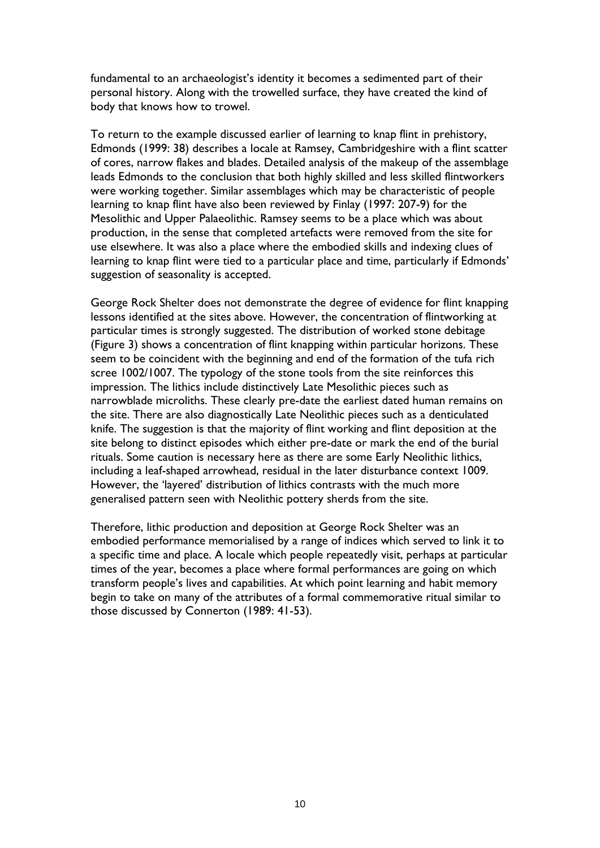fundamental to an archaeologist's identity it becomes a sedimented part of their personal history. Along with the trowelled surface, they have created the kind of body that knows how to trowel.

To return to the example discussed earlier of learning to knap flint in prehistory, Edmonds (1999: 38) describes a locale at Ramsey, Cambridgeshire with a flint scatter of cores, narrow flakes and blades. Detailed analysis of the makeup of the assemblage leads Edmonds to the conclusion that both highly skilled and less skilled flintworkers were working together. Similar assemblages which may be characteristic of people learning to knap flint have also been reviewed by Finlay (1997: 207-9) for the Mesolithic and Upper Palaeolithic. Ramsey seems to be a place which was about production, in the sense that completed artefacts were removed from the site for use elsewhere. It was also a place where the embodied skills and indexing clues of learning to knap flint were tied to a particular place and time, particularly if Edmonds' suggestion of seasonality is accepted.

George Rock Shelter does not demonstrate the degree of evidence for flint knapping lessons identified at the sites above. However, the concentration of flintworking at particular times is strongly suggested. The distribution of worked stone debitage (Figure 3) shows a concentration of flint knapping within particular horizons. These seem to be coincident with the beginning and end of the formation of the tufa rich scree 1002/1007. The typology of the stone tools from the site reinforces this impression. The lithics include distinctively Late Mesolithic pieces such as narrowblade microliths. These clearly pre-date the earliest dated human remains on the site. There are also diagnostically Late Neolithic pieces such as a denticulated knife. The suggestion is that the majority of flint working and flint deposition at the site belong to distinct episodes which either pre-date or mark the end of the burial rituals. Some caution is necessary here as there are some Early Neolithic lithics, including a leaf-shaped arrowhead, residual in the later disturbance context 1009. However, the 'layered' distribution of lithics contrasts with the much more generalised pattern seen with Neolithic pottery sherds from the site.

Therefore, lithic production and deposition at George Rock Shelter was an embodied performance memorialised by a range of indices which served to link it to a specific time and place. A locale which people repeatedly visit, perhaps at particular times of the year, becomes a place where formal performances are going on which transform people's lives and capabilities. At which point learning and habit memory begin to take on many of the attributes of a formal commemorative ritual similar to those discussed by Connerton (1989: 41-53).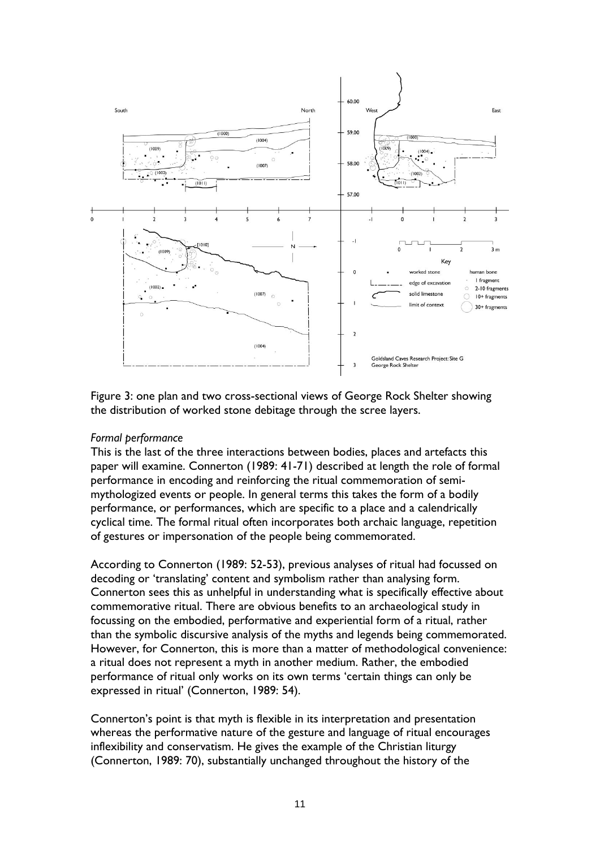

Figure 3: one plan and two cross-sectional views of George Rock Shelter showing the distribution of worked stone debitage through the scree layers.

## *Formal performance*

This is the last of the three interactions between bodies, places and artefacts this paper will examine. Connerton (1989: 41-71) described at length the role of formal performance in encoding and reinforcing the ritual commemoration of semimythologized events or people. In general terms this takes the form of a bodily performance, or performances, which are specific to a place and a calendrically cyclical time. The formal ritual often incorporates both archaic language, repetition of gestures or impersonation of the people being commemorated.

According to Connerton (1989: 52-53), previous analyses of ritual had focussed on decoding or 'translating' content and symbolism rather than analysing form. Connerton sees this as unhelpful in understanding what is specifically effective about commemorative ritual. There are obvious benefits to an archaeological study in focussing on the embodied, performative and experiential form of a ritual, rather than the symbolic discursive analysis of the myths and legends being commemorated. However, for Connerton, this is more than a matter of methodological convenience: a ritual does not represent a myth in another medium. Rather, the embodied performance of ritual only works on its own terms 'certain things can only be expressed in ritual' (Connerton, 1989: 54).

Connerton's point is that myth is flexible in its interpretation and presentation whereas the performative nature of the gesture and language of ritual encourages inflexibility and conservatism. He gives the example of the Christian liturgy (Connerton, 1989: 70), substantially unchanged throughout the history of the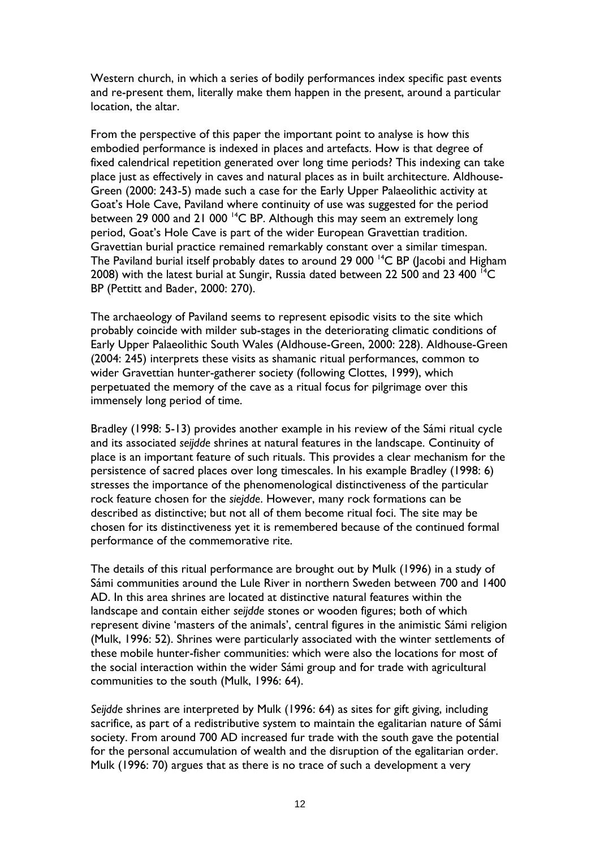Western church, in which a series of bodily performances index specific past events and re-present them, literally make them happen in the present, around a particular location, the altar.

From the perspective of this paper the important point to analyse is how this embodied performance is indexed in places and artefacts. How is that degree of fixed calendrical repetition generated over long time periods? This indexing can take place just as effectively in caves and natural places as in built architecture. Aldhouse-Green (2000: 243-5) made such a case for the Early Upper Palaeolithic activity at Goat's Hole Cave, Paviland where continuity of use was suggested for the period between 29 000 and 21 000 <sup>14</sup>C BP. Although this may seem an extremely long period, Goat's Hole Cave is part of the wider European Gravettian tradition. Gravettian burial practice remained remarkably constant over a similar timespan. The Paviland burial itself probably dates to around 29 000<sup>14</sup>C BP (Jacobi and Higham 2008) with the latest burial at Sungir, Russia dated between 22 500 and 23 400 <sup>14</sup>C BP (Pettitt and Bader, 2000: 270).

The archaeology of Paviland seems to represent episodic visits to the site which probably coincide with milder sub-stages in the deteriorating climatic conditions of Early Upper Palaeolithic South Wales (Aldhouse-Green, 2000: 228). Aldhouse-Green (2004: 245) interprets these visits as shamanic ritual performances, common to wider Gravettian hunter-gatherer society (following Clottes, 1999), which perpetuated the memory of the cave as a ritual focus for pilgrimage over this immensely long period of time.

Bradley (1998: 5-13) provides another example in his review of the Sámi ritual cycle and its associated *seijdde* shrines at natural features in the landscape. Continuity of place is an important feature of such rituals. This provides a clear mechanism for the persistence of sacred places over long timescales. In his example Bradley (1998: 6) stresses the importance of the phenomenological distinctiveness of the particular rock feature chosen for the *siejdde*. However, many rock formations can be described as distinctive; but not all of them become ritual foci. The site may be chosen for its distinctiveness yet it is remembered because of the continued formal performance of the commemorative rite.

The details of this ritual performance are brought out by Mulk (1996) in a study of Sámi communities around the Lule River in northern Sweden between 700 and 1400 AD. In this area shrines are located at distinctive natural features within the landscape and contain either *seijdde* stones or wooden figures; both of which represent divine 'masters of the animals', central figures in the animistic Sámi religion (Mulk, 1996: 52). Shrines were particularly associated with the winter settlements of these mobile hunter-fisher communities: which were also the locations for most of the social interaction within the wider Sámi group and for trade with agricultural communities to the south (Mulk, 1996: 64).

*Seijdde* shrines are interpreted by Mulk (1996: 64) as sites for gift giving, including sacrifice, as part of a redistributive system to maintain the egalitarian nature of Sámi society. From around 700 AD increased fur trade with the south gave the potential for the personal accumulation of wealth and the disruption of the egalitarian order. Mulk (1996: 70) argues that as there is no trace of such a development a very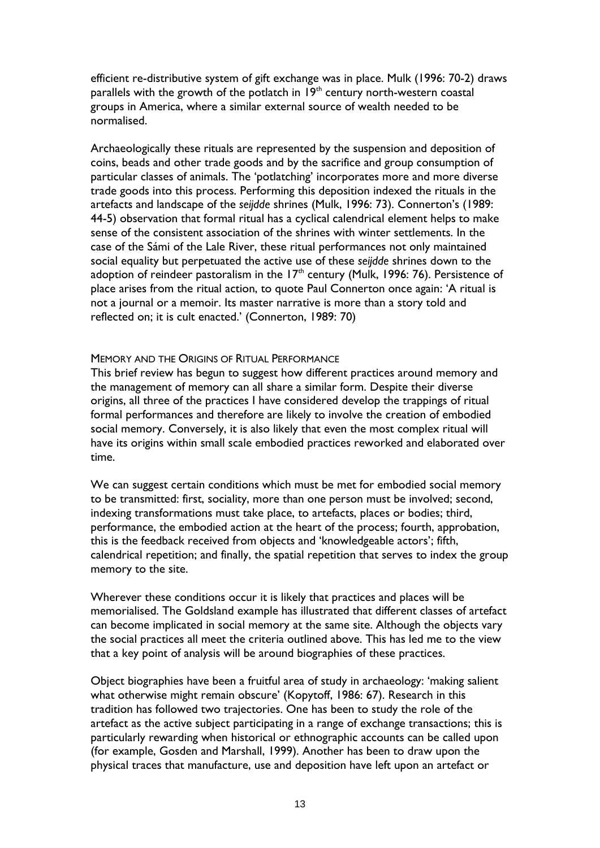efficient re-distributive system of gift exchange was in place. Mulk (1996: 70-2) draws parallels with the growth of the potlatch in  $19<sup>th</sup>$  century north-western coastal groups in America, where a similar external source of wealth needed to be normalised.

Archaeologically these rituals are represented by the suspension and deposition of coins, beads and other trade goods and by the sacrifice and group consumption of particular classes of animals. The 'potlatching' incorporates more and more diverse trade goods into this process. Performing this deposition indexed the rituals in the artefacts and landscape of the *seijdde* shrines (Mulk, 1996: 73). Connerton's (1989: 44-5) observation that formal ritual has a cyclical calendrical element helps to make sense of the consistent association of the shrines with winter settlements. In the case of the Sámi of the Lale River, these ritual performances not only maintained social equality but perpetuated the active use of these *seijdde* shrines down to the adoption of reindeer pastoralism in the 17<sup>th</sup> century (Mulk, 1996: 76). Persistence of place arises from the ritual action, to quote Paul Connerton once again: 'A ritual is not a journal or a memoir. Its master narrative is more than a story told and reflected on; it is cult enacted.' (Connerton, 1989: 70)

#### MEMORY AND THE ORIGINS OF RITUAL PERFORMANCE

This brief review has begun to suggest how different practices around memory and the management of memory can all share a similar form. Despite their diverse origins, all three of the practices I have considered develop the trappings of ritual formal performances and therefore are likely to involve the creation of embodied social memory. Conversely, it is also likely that even the most complex ritual will have its origins within small scale embodied practices reworked and elaborated over time.

We can suggest certain conditions which must be met for embodied social memory to be transmitted: first, sociality, more than one person must be involved; second, indexing transformations must take place, to artefacts, places or bodies; third, performance, the embodied action at the heart of the process; fourth, approbation, this is the feedback received from objects and 'knowledgeable actors'; fifth, calendrical repetition; and finally, the spatial repetition that serves to index the group memory to the site.

Wherever these conditions occur it is likely that practices and places will be memorialised. The Goldsland example has illustrated that different classes of artefact can become implicated in social memory at the same site. Although the objects vary the social practices all meet the criteria outlined above. This has led me to the view that a key point of analysis will be around biographies of these practices.

Object biographies have been a fruitful area of study in archaeology: 'making salient what otherwise might remain obscure' (Kopytoff, 1986: 67). Research in this tradition has followed two trajectories. One has been to study the role of the artefact as the active subject participating in a range of exchange transactions; this is particularly rewarding when historical or ethnographic accounts can be called upon (for example, Gosden and Marshall, 1999). Another has been to draw upon the physical traces that manufacture, use and deposition have left upon an artefact or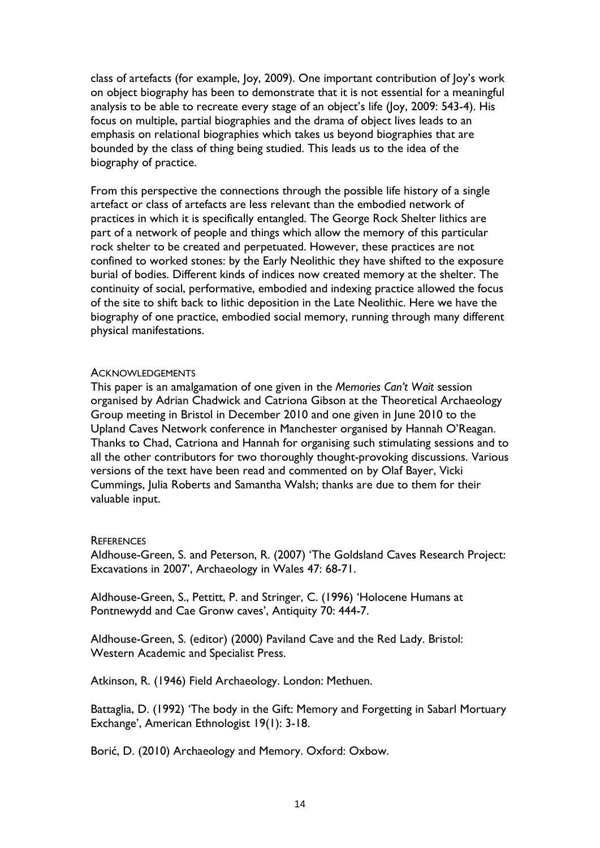class of artefacts (for example, Joy, 2009). One important contribution of Joy's work on object biography has been to demonstrate that it is not essential for a meaningful analysis to be able to recreate every stage of an object's life (Joy, 2009: 543-4). His focus on multiple, partial biographies and the drama of object lives leads to an emphasis on relational biographies which takes us beyond biographies that are bounded by the class of thing being studied. This leads us to the idea of the biography of practice.

From this perspective the connections through the possible life history of a single artefact or class of artefacts are less relevant than the embodied network of practices in which it is specifically entangled. The George Rock Shelter lithics are part of a network of people and things which allow the memory of this particular rock shelter to be created and perpetuated. However, these practices are not confined to worked stones: by the Early Neolithic they have shifted to the exposure burial of bodies. Different kinds of indices now created memory at the shelter. The continuity of social, performative, embodied and indexing practice allowed the focus of the site to shift back to lithic deposition in the Late Neolithic. Here we have the biography of one practice, embodied social memory, running through many different physical manifestations.

#### **ACKNOWLEDGEMENTS**

This paper is an amalgamation of one given in the *Memories Can't Wait* session organised by Adrian Chadwick and Catriona Gibson at the Theoretical Archaeology Group meeting in Bristol in December 2010 and one given in June 2010 to the Upland Caves Network conference in Manchester organised by Hannah O'Reagan. Thanks to Chad, Catriona and Hannah for organising such stimulating sessions and to all the other contributors for two thoroughly thought-provoking discussions. Various versions of the text have been read and commented on by Olaf Bayer, Vicki Cummings, Julia Roberts and Samantha Walsh; thanks are due to them for their valuable input.

## **REFERENCES**

Aldhouse-Green, S. and Peterson, R. (2007) 'The Goldsland Caves Research Project: Excavations in 2007', Archaeology in Wales 47: 68-71.

Aldhouse-Green, S., Pettitt, P. and Stringer, C. (1996) 'Holocene Humans at Pontnewydd and Cae Gronw caves', Antiquity 70: 444-7.

Aldhouse-Green, S. (editor) (2000) Paviland Cave and the Red Lady. Bristol: Western Academic and Specialist Press.

Atkinson, R. (1946) Field Archaeology. London: Methuen.

Battaglia, D. (1992) 'The body in the Gift: Memory and Forgetting in Sabarl Mortuary Exchange', American Ethnologist 19(1): 3-18.

Borić, D. (2010) Archaeology and Memory. Oxford: Oxbow.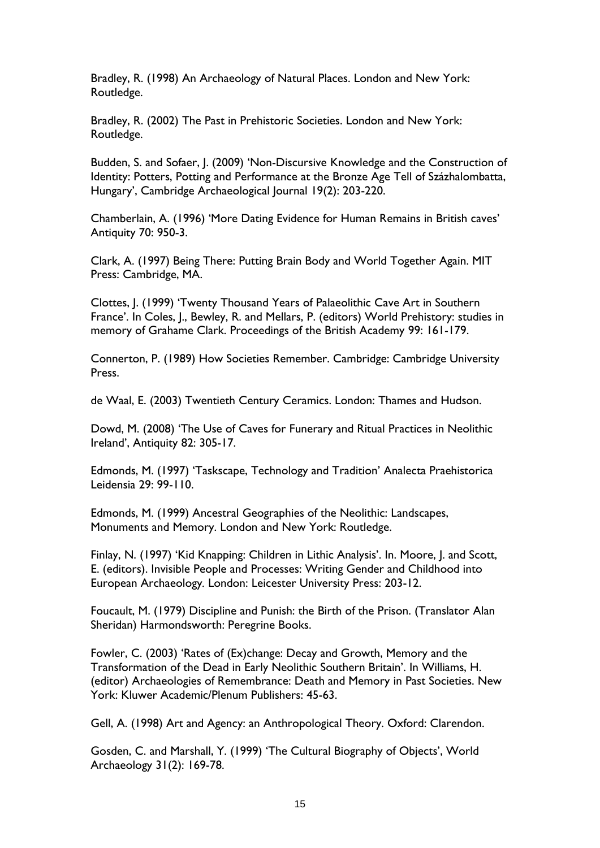Bradley, R. (1998) An Archaeology of Natural Places. London and New York: Routledge.

Bradley, R. (2002) The Past in Prehistoric Societies. London and New York: Routledge.

Budden, S. and Sofaer, J. (2009) 'Non-Discursive Knowledge and the Construction of Identity: Potters, Potting and Performance at the Bronze Age Tell of Százhalombatta, Hungary', Cambridge Archaeological Journal 19(2): 203-220.

Chamberlain, A. (1996) 'More Dating Evidence for Human Remains in British caves' Antiquity 70: 950-3.

Clark, A. (1997) Being There: Putting Brain Body and World Together Again. MIT Press: Cambridge, MA.

Clottes, J. (1999) 'Twenty Thousand Years of Palaeolithic Cave Art in Southern France'. In Coles, J., Bewley, R. and Mellars, P. (editors) World Prehistory: studies in memory of Grahame Clark. Proceedings of the British Academy 99: 161-179.

Connerton, P. (1989) How Societies Remember. Cambridge: Cambridge University Press.

de Waal, E. (2003) Twentieth Century Ceramics. London: Thames and Hudson.

Dowd, M. (2008) 'The Use of Caves for Funerary and Ritual Practices in Neolithic Ireland', Antiquity 82: 305-17.

Edmonds, M. (1997) 'Taskscape, Technology and Tradition' Analecta Praehistorica Leidensia 29: 99-110.

Edmonds, M. (1999) Ancestral Geographies of the Neolithic: Landscapes, Monuments and Memory. London and New York: Routledge.

Finlay, N. (1997) 'Kid Knapping: Children in Lithic Analysis'. In. Moore, J. and Scott, E. (editors). Invisible People and Processes: Writing Gender and Childhood into European Archaeology*.* London: Leicester University Press: 203-12.

Foucault, M. (1979) Discipline and Punish: the Birth of the Prison. (Translator Alan Sheridan) Harmondsworth: Peregrine Books.

Fowler, C. (2003) 'Rates of (Ex)change: Decay and Growth, Memory and the Transformation of the Dead in Early Neolithic Southern Britain'. In Williams, H. (editor) Archaeologies of Remembrance: Death and Memory in Past Societies. New York: Kluwer Academic/Plenum Publishers: 45-63.

Gell, A. (1998) Art and Agency: an Anthropological Theory. Oxford: Clarendon.

Gosden, C. and Marshall, Y. (1999) 'The Cultural Biography of Objects', World Archaeology 31(2): 169-78.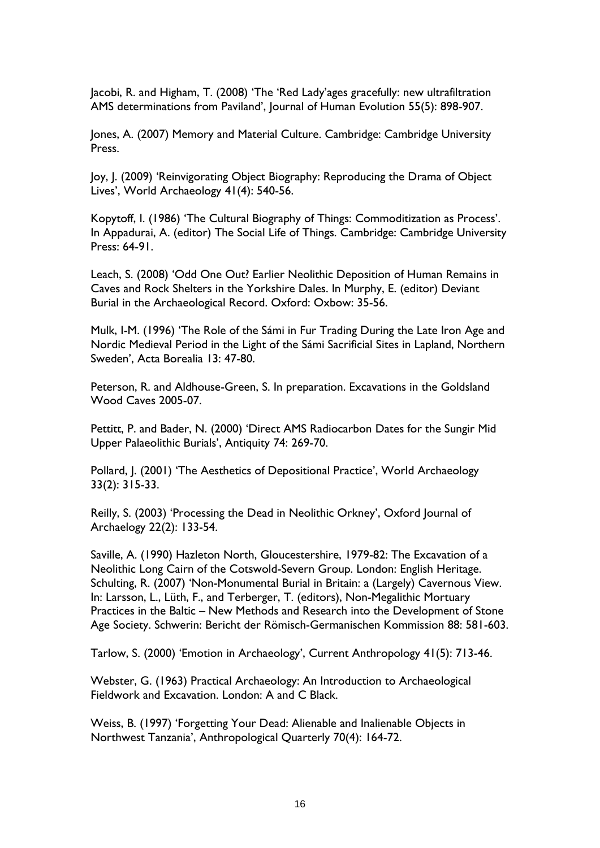Jacobi, R. and Higham, T. (2008) 'The 'Red Lady'ages gracefully: new ultrafiltration AMS determinations from Paviland', Journal of Human Evolution 55(5): 898-907.

Jones, A. (2007) Memory and Material Culture. Cambridge: Cambridge University Press.

Joy, J. (2009) 'Reinvigorating Object Biography: Reproducing the Drama of Object Lives', World Archaeology 41(4): 540-56.

Kopytoff, I. (1986) 'The Cultural Biography of Things: Commoditization as Process'. In Appadurai, A. (editor) The Social Life of Things. Cambridge: Cambridge University Press: 64-91.

Leach, S. (2008) 'Odd One Out? Earlier Neolithic Deposition of Human Remains in Caves and Rock Shelters in the Yorkshire Dales. In Murphy, E. (editor) Deviant Burial in the Archaeological Record. Oxford: Oxbow: 35-56.

Mulk, I-M. (1996) 'The Role of the Sámi in Fur Trading During the Late Iron Age and Nordic Medieval Period in the Light of the Sámi Sacrificial Sites in Lapland, Northern Sweden', Acta Borealia 13: 47-80.

Peterson, R. and Aldhouse-Green, S. In preparation. Excavations in the Goldsland Wood Caves 2005-07.

Pettitt, P. and Bader, N. (2000) 'Direct AMS Radiocarbon Dates for the Sungir Mid Upper Palaeolithic Burials', Antiquity 74: 269-70.

Pollard, J. (2001) 'The Aesthetics of Depositional Practice', World Archaeology 33(2): 315-33.

Reilly, S. (2003) 'Processing the Dead in Neolithic Orkney', Oxford Journal of Archaelogy 22(2): 133-54.

Saville, A. (1990) Hazleton North, Gloucestershire, 1979-82: The Excavation of a Neolithic Long Cairn of the Cotswold-Severn Group. London: English Heritage. Schulting, R. (2007) 'Non-Monumental Burial in Britain: a (Largely) Cavernous View. In: Larsson, L., Lüth, F., and Terberger, T. (editors), Non-Megalithic Mortuary Practices in the Baltic – New Methods and Research into the Development of Stone Age Society. Schwerin: Bericht der Römisch-Germanischen Kommission 88: 581-603.

Tarlow, S. (2000) 'Emotion in Archaeology', Current Anthropology 41(5): 713-46.

Webster, G. (1963) Practical Archaeology: An Introduction to Archaeological Fieldwork and Excavation. London: A and C Black.

Weiss, B. (1997) 'Forgetting Your Dead: Alienable and Inalienable Objects in Northwest Tanzania', Anthropological Quarterly 70(4): 164-72.